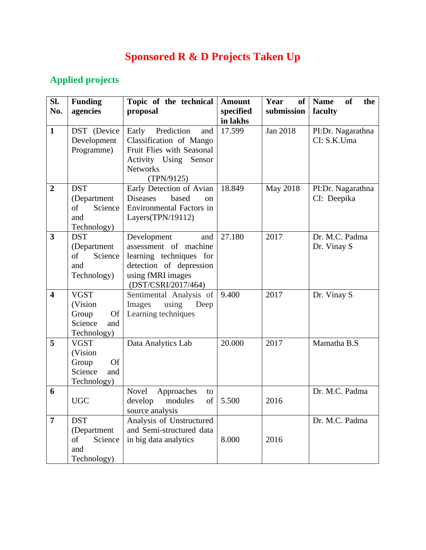## **Sponsored R & D Projects Taken Up**

## **Applied projects**

| SI.                     | <b>Funding</b>            | Topic of the technical                               | <b>Amount</b> | Year<br>of | <b>of</b><br><b>Name</b><br>the |
|-------------------------|---------------------------|------------------------------------------------------|---------------|------------|---------------------------------|
| No.                     | agencies                  | proposal                                             | specified     | submission | faculty                         |
|                         |                           |                                                      | in lakhs      |            |                                 |
| $\mathbf{1}$            | DST (Device               | Prediction<br>Early<br>and                           | 17.599        | Jan 2018   | PI:Dr. Nagarathna               |
|                         | Development<br>Programme) | Classification of Mango<br>Fruit Flies with Seasonal |               |            | CI: S.K.Uma                     |
|                         |                           | Activity Using Sensor                                |               |            |                                 |
|                         |                           | <b>Networks</b>                                      |               |            |                                 |
|                         |                           | (TPN/9125)                                           |               |            |                                 |
| $\overline{2}$          | <b>DST</b>                | Early Detection of Avian                             | 18.849        | May 2018   | PI:Dr. Nagarathna               |
|                         | (Department               | <b>Diseases</b><br>based<br>on                       |               |            | CI: Deepika                     |
|                         | Science<br>of             | <b>Environmental Factors in</b>                      |               |            |                                 |
|                         | and                       | Layers(TPN/19112)                                    |               |            |                                 |
|                         | Technology)               |                                                      |               |            |                                 |
| 3                       | <b>DST</b>                | Development<br>and                                   | 27.180        | 2017       | Dr. M.C. Padma                  |
|                         | (Department               | assessment of machine                                |               |            | Dr. Vinay S                     |
|                         | of<br>Science             | learning techniques for                              |               |            |                                 |
|                         | and                       | detection of depression                              |               |            |                                 |
|                         | Technology)               | using fMRI images<br>(DST/CSRI/2017/464)             |               |            |                                 |
| $\overline{\mathbf{4}}$ | <b>VGST</b>               | Sentimental Analysis of                              | 9.400         | 2017       | Dr. Vinay S                     |
|                         | (Vision                   | Images<br>using<br>Deep                              |               |            |                                 |
|                         | Group<br>Of               | Learning techniques                                  |               |            |                                 |
|                         | Science<br>and            |                                                      |               |            |                                 |
|                         | Technology)               |                                                      |               |            |                                 |
| 5                       | <b>VGST</b>               | Data Analytics Lab                                   | 20.000        | 2017       | Mamatha B.S                     |
|                         | (Vision                   |                                                      |               |            |                                 |
|                         | <b>Of</b><br>Group        |                                                      |               |            |                                 |
|                         | Science<br>and            |                                                      |               |            |                                 |
|                         | Technology)               |                                                      |               |            |                                 |
| 6                       |                           | Novel<br>Approaches<br>to                            |               |            | Dr. M.C. Padma                  |
|                         | <b>UGC</b>                | of<br>develop<br>modules                             | 5.500         | 2016       |                                 |
| $\overline{7}$          | <b>DST</b>                | source analysis<br>Analysis of Unstructured          |               |            | Dr. M.C. Padma                  |
|                         | (Department               | and Semi-structured data                             |               |            |                                 |
|                         | Science<br>of             | in big data analytics                                | 8.000         | 2016       |                                 |
|                         | and                       |                                                      |               |            |                                 |
|                         | Technology)               |                                                      |               |            |                                 |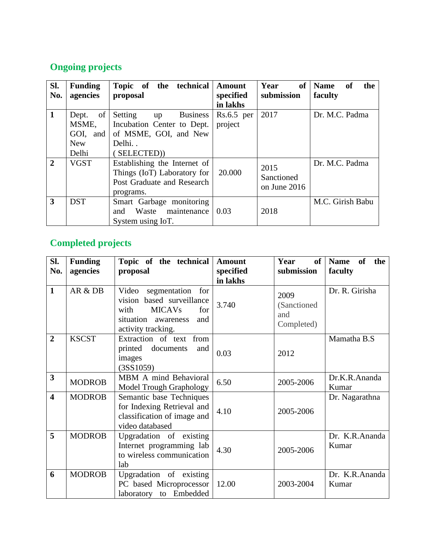## **Ongoing projects**

| Sl.<br>No.     | <b>Funding</b><br>agencies                              | Topic of the technical<br>proposal                                                                              | <b>Amount</b><br>specified<br>in lakhs | <b>of</b><br>Year<br>submission      | <b>Name</b><br>the<br><sub>of</sub><br>faculty |
|----------------|---------------------------------------------------------|-----------------------------------------------------------------------------------------------------------------|----------------------------------------|--------------------------------------|------------------------------------------------|
| $\mathbf{1}$   | of<br>Dept.<br>MSME,<br>GOI, and<br><b>New</b><br>Delhi | Setting<br><b>Business</b><br>up<br>Incubation Center to Dept.<br>of MSME, GOI, and New<br>Delhi<br>(SELECTED)) | $Rs.6.5$ per<br>project                | 2017                                 | Dr. M.C. Padma                                 |
| $\overline{2}$ | <b>VGST</b>                                             | Establishing the Internet of<br>Things (IoT) Laboratory for<br>Post Graduate and Research<br>programs.          | 20.000                                 | 2015<br>Sanctioned<br>on June $2016$ | Dr. M.C. Padma                                 |
| 3              | <b>DST</b>                                              | Smart Garbage monitoring<br>Waste maintenance<br>and<br>System using IoT.                                       | 0.03                                   | 2018                                 | M.C. Girish Babu                               |

## **Completed projects**

| SI.<br>No.              | <b>Funding</b><br>agencies | Topic of the technical<br>proposal                                                                                                               | <b>Amount</b><br>specified<br>in lakhs | <b>of</b><br>Year<br>submission           | the<br><b>Name</b><br>of<br>faculty |
|-------------------------|----------------------------|--------------------------------------------------------------------------------------------------------------------------------------------------|----------------------------------------|-------------------------------------------|-------------------------------------|
| $\mathbf{1}$            | AR & DB                    | Video<br>segmentation<br>for<br>vision based surveillance<br><b>MICAVs</b><br>for<br>with<br>situation<br>and<br>awareness<br>activity tracking. | 3.740                                  | 2009<br>(Sanctioned)<br>and<br>Completed) | Dr. R. Girisha                      |
| $\overline{2}$          | <b>KSCST</b>               | Extraction of text from<br>printed documents<br>and<br>images<br>(3SS1059)                                                                       | 0.03                                   | 2012                                      | Mamatha B.S                         |
| $\mathbf{3}$            | <b>MODROB</b>              | MBM A mind Behavioral<br><b>Model Trough Graphology</b>                                                                                          | 6.50                                   | 2005-2006                                 | Dr.K.R.Ananda<br>Kumar              |
| $\overline{\mathbf{4}}$ | <b>MODROB</b>              | Semantic base Techniques<br>for Indexing Retrieval and<br>classification of image and<br>video databased                                         | 4.10                                   | 2005-2006                                 | Dr. Nagarathna                      |
| 5                       | <b>MODROB</b>              | Upgradation of existing<br>Internet programming lab<br>to wireless communication<br>lab                                                          | 4.30                                   | 2005-2006                                 | Dr. K.R.Ananda<br>Kumar             |
| 6                       | <b>MODROB</b>              | Upgradation of existing<br>PC based Microprocessor<br>laboratory to Embedded                                                                     | 12.00                                  | 2003-2004                                 | Dr. K.R.Ananda<br>Kumar             |